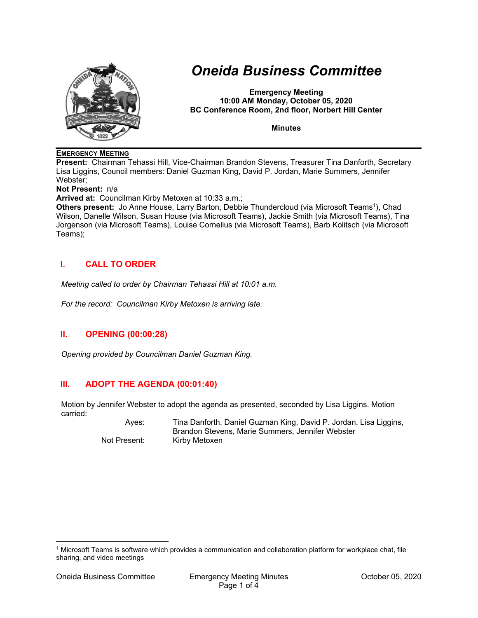

# *Oneida Business Committee*

**Emergency Meeting 10:00 AM Monday, October 05, 2020 BC Conference Room, 2nd floor, Norbert Hill Center** 

**Minutes** 

#### **EMERGENCY MEETING**

**Present:** Chairman Tehassi Hill, Vice-Chairman Brandon Stevens, Treasurer Tina Danforth, Secretary Lisa Liggins, Council members: Daniel Guzman King, David P. Jordan, Marie Summers, Jennifer Webster;

**Not Present:** n/a

**Arrived at:** Councilman Kirby Metoxen at 10:33 a.m.;

Others present: Jo Anne House, Larry Barton, Debbie Thundercloud (via Microsoft Teams<sup>1</sup>), Chad Wilson, Danelle Wilson, Susan House (via Microsoft Teams), Jackie Smith (via Microsoft Teams), Tina Jorgenson (via Microsoft Teams), Louise Cornelius (via Microsoft Teams), Barb Kolitsch (via Microsoft Teams);

# **I. CALL TO ORDER**

*Meeting called to order by Chairman Tehassi Hill at 10:01 a.m.* 

*For the record: Councilman Kirby Metoxen is arriving late.* 

# **II. OPENING (00:00:28)**

*Opening provided by Councilman Daniel Guzman King.* 

# **III. ADOPT THE AGENDA (00:01:40)**

Motion by Jennifer Webster to adopt the agenda as presented, seconded by Lisa Liggins. Motion carried:

 Ayes: Tina Danforth, Daniel Guzman King, David P. Jordan, Lisa Liggins, Brandon Stevens, Marie Summers, Jennifer Webster Not Present: Kirby Metoxen

<sup>1</sup> Microsoft Teams is software which provides a communication and collaboration platform for workplace chat, file sharing, and video meetings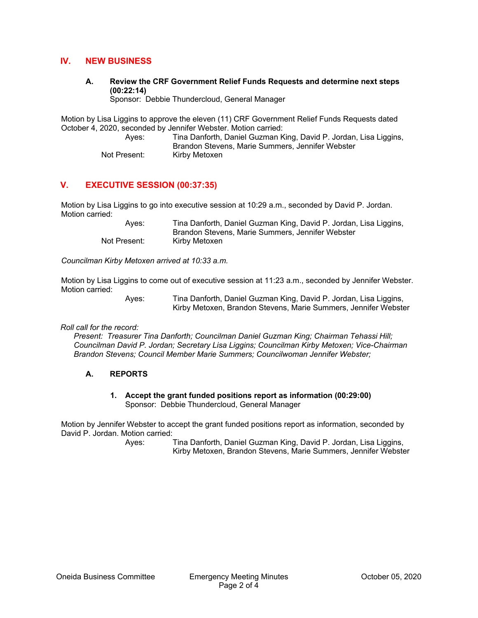### **IV. NEW BUSINESS**

**A. Review the CRF Government Relief Funds Requests and determine next steps (00:22:14)** 

Sponsor: Debbie Thundercloud, General Manager

Motion by Lisa Liggins to approve the eleven (11) CRF Government Relief Funds Requests dated October 4, 2020, seconded by Jennifer Webster. Motion carried:

 Ayes: Tina Danforth, Daniel Guzman King, David P. Jordan, Lisa Liggins, Brandon Stevens, Marie Summers, Jennifer Webster Not Present: Kirby Metoxen

# **V. EXECUTIVE SESSION (00:37:35)**

Motion by Lisa Liggins to go into executive session at 10:29 a.m., seconded by David P. Jordan. Motion carried:

> Ayes: Tina Danforth, Daniel Guzman King, David P. Jordan, Lisa Liggins, Brandon Stevens, Marie Summers, Jennifer Webster Not Present: Kirby Metoxen

*Councilman Kirby Metoxen arrived at 10:33 a.m.* 

Motion by Lisa Liggins to come out of executive session at 11:23 a.m., seconded by Jennifer Webster. Motion carried:

 Ayes: Tina Danforth, Daniel Guzman King, David P. Jordan, Lisa Liggins, Kirby Metoxen, Brandon Stevens, Marie Summers, Jennifer Webster

*Roll call for the record:* 

*Present: Treasurer Tina Danforth; Councilman Daniel Guzman King; Chairman Tehassi Hill; Councilman David P. Jordan; Secretary Lisa Liggins; Councilman Kirby Metoxen; Vice-Chairman Brandon Stevens; Council Member Marie Summers; Councilwoman Jennifer Webster;* 

#### **A. REPORTS**

#### **1. Accept the grant funded positions report as information (00:29:00)**  Sponsor: Debbie Thundercloud, General Manager

Motion by Jennifer Webster to accept the grant funded positions report as information, seconded by David P. Jordan. Motion carried:

> Ayes: Tina Danforth, Daniel Guzman King, David P. Jordan, Lisa Liggins, Kirby Metoxen, Brandon Stevens, Marie Summers, Jennifer Webster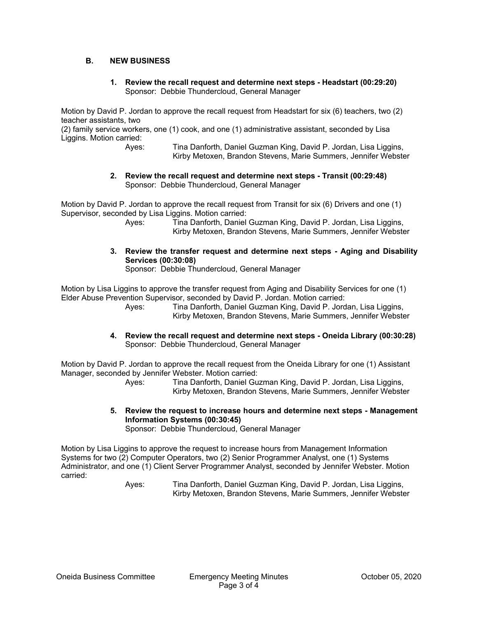#### **B. NEW BUSINESS**

#### **1. Review the recall request and determine next steps - Headstart (00:29:20)**  Sponsor: Debbie Thundercloud, General Manager

Motion by David P. Jordan to approve the recall request from Headstart for six (6) teachers, two (2) teacher assistants, two

(2) family service workers, one (1) cook, and one (1) administrative assistant, seconded by Lisa Liggins. Motion carried:

 Ayes: Tina Danforth, Daniel Guzman King, David P. Jordan, Lisa Liggins, Kirby Metoxen, Brandon Stevens, Marie Summers, Jennifer Webster

**2. Review the recall request and determine next steps - Transit (00:29:48)**  Sponsor: Debbie Thundercloud, General Manager

Motion by David P. Jordan to approve the recall request from Transit for six (6) Drivers and one (1) Supervisor, seconded by Lisa Liggins. Motion carried:

> Ayes: Tina Danforth, Daniel Guzman King, David P. Jordan, Lisa Liggins, Kirby Metoxen, Brandon Stevens, Marie Summers, Jennifer Webster

**3. Review the transfer request and determine next steps - Aging and Disability Services (00:30:08)** 

Sponsor: Debbie Thundercloud, General Manager

Motion by Lisa Liggins to approve the transfer request from Aging and Disability Services for one (1) Elder Abuse Prevention Supervisor, seconded by David P. Jordan. Motion carried:

 Ayes: Tina Danforth, Daniel Guzman King, David P. Jordan, Lisa Liggins, Kirby Metoxen, Brandon Stevens, Marie Summers, Jennifer Webster

**4. Review the recall request and determine next steps - Oneida Library (00:30:28)**  Sponsor: Debbie Thundercloud, General Manager

Motion by David P. Jordan to approve the recall request from the Oneida Library for one (1) Assistant Manager, seconded by Jennifer Webster. Motion carried:

 Ayes: Tina Danforth, Daniel Guzman King, David P. Jordan, Lisa Liggins, Kirby Metoxen, Brandon Stevens, Marie Summers, Jennifer Webster

**5. Review the request to increase hours and determine next steps - Management Information Systems (00:30:45)** 

Sponsor: Debbie Thundercloud, General Manager

Motion by Lisa Liggins to approve the request to increase hours from Management Information Systems for two (2) Computer Operators, two (2) Senior Programmer Analyst, one (1) Systems Administrator, and one (1) Client Server Programmer Analyst, seconded by Jennifer Webster. Motion carried:

 Ayes: Tina Danforth, Daniel Guzman King, David P. Jordan, Lisa Liggins, Kirby Metoxen, Brandon Stevens, Marie Summers, Jennifer Webster